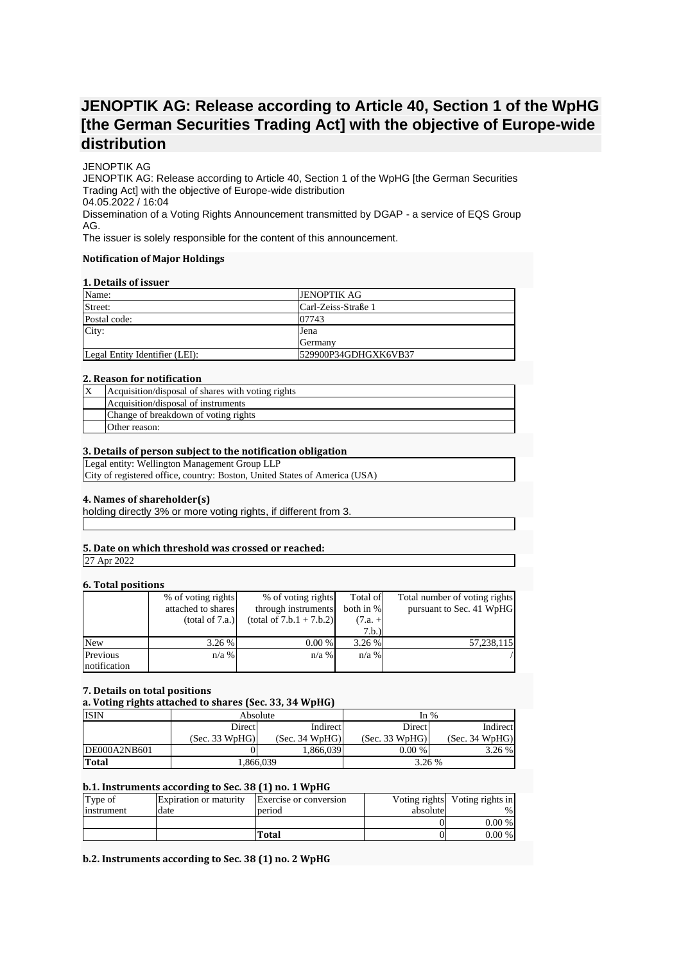# **JENOPTIK AG: Release according to Article 40, Section 1 of the WpHG [the German Securities Trading Act] with the objective of Europe-wide distribution**

## JENOPTIK AG

JENOPTIK AG: Release according to Article 40, Section 1 of the WpHG [the German Securities Trading Act] with the objective of Europe-wide distribution 04.05.2022 / 16:04 Dissemination of a Voting Rights Announcement transmitted by DGAP - a service of EQS Group AG.

The issuer is solely responsible for the content of this announcement.

#### **Notification of Major Holdings**

## **1. Details of issuer**

| <b>JENOPTIK AG</b>   |
|----------------------|
|                      |
| Carl-Zeiss-Straße 1  |
| 07743                |
| Jena                 |
| <b>Germany</b>       |
| 529900P34GDHGXK6VB37 |
|                      |

#### **2. Reason for notification**

| Acquisition/disposal of shares with voting rights |
|---------------------------------------------------|
| Acquisition/disposal of instruments               |
| Change of breakdown of voting rights              |
| Other reason:                                     |

#### **3. Details of person subject to the notification obligation**

Legal entity: Wellington Management Group LLP

City of registered office, country: Boston, United States of America (USA)

### **4. Names of shareholder(s)**

holding directly 3% or more voting rights, if different from 3.

# **5. Date on which threshold was crossed or reached:**

27 Apr 2022

### **6. Total positions**

| . <i>.</i>   |                    |                            |           |                               |
|--------------|--------------------|----------------------------|-----------|-------------------------------|
|              | % of voting rights | % of voting rights         | Total of  | Total number of voting rights |
|              | attached to shares | through instruments        | both in % | pursuant to Sec. 41 WpHG      |
|              | (total of 7.a.)    | $(total of 7.b.1 + 7.b.2)$ | $(7.a. +$ |                               |
|              |                    |                            | 7.b.)     |                               |
| <b>New</b>   | 3.26%              | 0.00 %                     | 3.26 %    | 57,238,115                    |
| Previous     | $n/a$ %            | $n/a$ %                    | $n/a$ %   |                               |
| notification |                    |                            |           |                               |

### **7. Details on total positions**

**a. Voting rights attached to shares (Sec. 33, 34 WpHG)**

| <b>ISIN</b>  | Absolute       |                | In $%$         |                |
|--------------|----------------|----------------|----------------|----------------|
|              | Direct         | Indirect       | Direct         | Indirect       |
|              | (Sec. 33 WpHG) | (Sec. 34 WpHG) | (Sec. 33 WpHG) | (Sec. 34 WpHG) |
| DE000A2NB601 |                | 1,866,039      | 0.00 %         | 3.26%          |
| Total        | .366,039       |                | 3.26 %         |                |

## **b.1. Instruments according to Sec. 38 (1) no. 1 WpHG**

| Type of    | <b>Expiration or maturity</b> | Exercise or conversion |          | Voting rights Voting rights in |
|------------|-------------------------------|------------------------|----------|--------------------------------|
| instrument | date                          | period                 | absolute | $\%$ .                         |
|            |                               |                        |          | $0.00\%$                       |
|            |                               | Total                  |          | 0.00%                          |

## **b.2. Instruments according to Sec. 38 (1) no. 2 WpHG**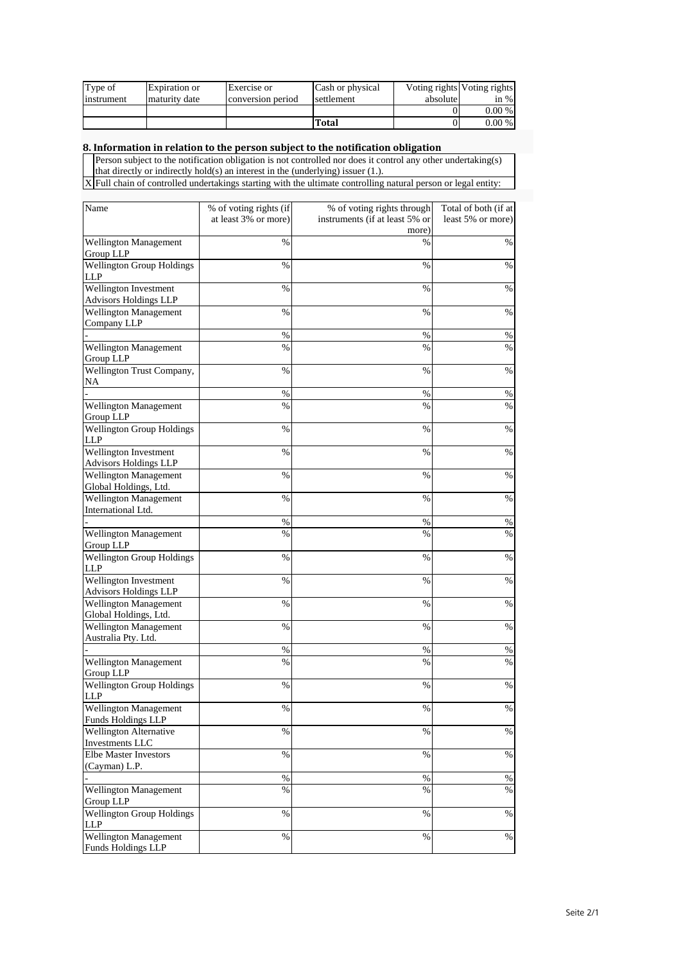| Type of    | Expiration or | Exercise or       | Cash or physical |          | Voting rights Voting rights |
|------------|---------------|-------------------|------------------|----------|-----------------------------|
| instrument | maturity date | conversion period | settlement       | absolute | in %                        |
|            |               |                   |                  |          | $0.00\%$                    |
|            |               |                   | Total            |          | $0.00\%$                    |

#### **8. Information in relation to the person subject to the notification obligation**

Person subject to the notification obligation is not controlled nor does it control any other undertaking(s) that directly or indirectly hold(s) an interest in the (underlying) issuer (1.).

X Full chain of controlled undertakings starting with the ultimate controlling natural person or legal entity:

| Name                                                  | % of voting rights (if | % of voting rights through              | Total of both (if at |
|-------------------------------------------------------|------------------------|-----------------------------------------|----------------------|
|                                                       | at least 3% or more)   | instruments (if at least 5% or<br>more) | least 5% or more)    |
| Wellington Management                                 | %                      | $\%$                                    | $\%$                 |
| Group LLP                                             |                        |                                         |                      |
| <b>Wellington Group Holdings</b><br>LLP               | $\%$                   | $\%$                                    | %                    |
| Wellington Investment                                 | $\%$                   | $\%$                                    | $\%$                 |
| <b>Advisors Holdings LLP</b>                          |                        |                                         |                      |
| Wellington Management                                 | $\%$                   | $\%$                                    | $\%$                 |
| Company LLP                                           |                        |                                         |                      |
| Wellington Management                                 | %<br>$\%$              | %<br>$\%$                               | $\%$<br>$\%$         |
| Group LLP                                             |                        |                                         |                      |
| Wellington Trust Company,<br>NA                       | %                      | %                                       | %                    |
|                                                       | %                      | $\%$                                    | $\%$                 |
| <b>Wellington Management</b><br>Group LLP             | $\%$                   | $\%$                                    | %                    |
| <b>Wellington Group Holdings</b><br><b>LLP</b>        | $\%$                   | $\%$                                    | $\%$                 |
| Wellington Investment<br><b>Advisors Holdings LLP</b> | %                      | $\%$                                    | $\%$                 |
| <b>Wellington Management</b>                          | $\%$                   | $\%$                                    | %                    |
| Global Holdings, Ltd.                                 |                        |                                         |                      |
| <b>Wellington Management</b>                          | %                      | %                                       | %                    |
| International Ltd.                                    |                        |                                         |                      |
|                                                       | %                      | %                                       | $\%$                 |
| Wellington Management<br>Group LLP                    | $\%$                   | $\%$                                    | %                    |
| <b>Wellington Group Holdings</b><br>LLP               | $\%$                   | $\%$                                    | $\%$                 |
| Wellington Investment                                 | $\%$                   | %                                       | $\%$                 |
| <b>Advisors Holdings LLP</b>                          |                        |                                         |                      |
| <b>Wellington Management</b><br>Global Holdings, Ltd. | %                      | %                                       | %                    |
| Wellington Management                                 | %                      | %                                       | %                    |
| Australia Pty. Ltd.                                   |                        |                                         |                      |
|                                                       | $\%$<br>$\%$           | $\%$                                    | %                    |
| Wellington Management<br>Group LLP                    |                        | $\%$                                    | %                    |
| <b>Wellington Group Holdings</b>                      | %                      | %                                       | %                    |
| LLP                                                   |                        |                                         |                      |
| <b>Wellington Management</b>                          | %                      | $\%$                                    | $\%$                 |
| <b>Funds Holdings LLP</b><br>Wellington Alternative   | %                      | %                                       | $\%$                 |
| Investments LLC                                       |                        |                                         |                      |
| Elbe Master Investors                                 | $\%$                   | $\%$                                    | $\%$                 |
| (Cayman) L.P.                                         |                        |                                         |                      |
|                                                       | %                      | %                                       | $\%$                 |
| <b>Wellington Management</b><br>Group LLP             | $\%$                   | $\%$                                    | $\%$                 |
| <b>Wellington Group Holdings</b><br>LLP               | $\%$                   | $\%$                                    | $\%$                 |
| Wellington Management<br><b>Funds Holdings LLP</b>    | $\%$                   | $\%$                                    | $\%$                 |